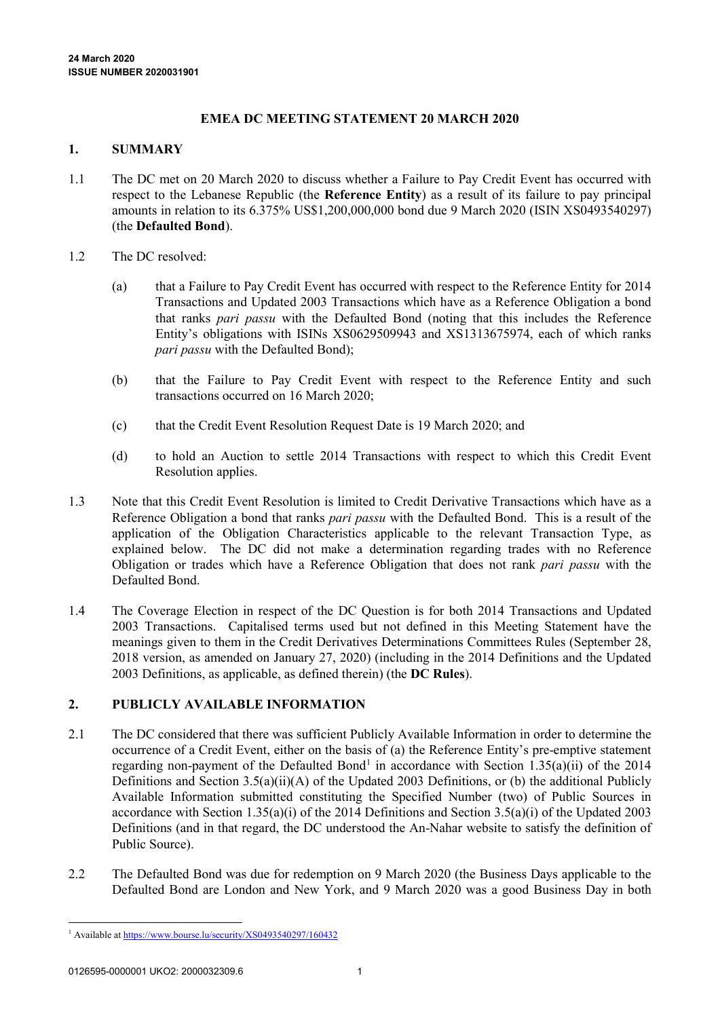## **EMEA DC MEETING STATEMENT 20 MARCH 2020**

#### **1. SUMMARY**

- 1.1 The DC met on 20 March 2020 to discuss whether a Failure to Pay Credit Event has occurred with respect to the Lebanese Republic (the **Reference Entity**) as a result of its failure to pay principal amounts in relation to its 6.375% US\$1,200,000,000 bond due 9 March 2020 (ISIN XS0493540297) (the **Defaulted Bond**).
- 1.2 The DC resolved:
	- (a) that a Failure to Pay Credit Event has occurred with respect to the Reference Entity for 2014 Transactions and Updated 2003 Transactions which have as a Reference Obligation a bond that ranks *pari passu* with the Defaulted Bond (noting that this includes the Reference Entity's obligations with ISINs XS0629509943 and XS1313675974, each of which ranks *pari passu* with the Defaulted Bond);
	- (b) that the Failure to Pay Credit Event with respect to the Reference Entity and such transactions occurred on 16 March 2020;
	- (c) that the Credit Event Resolution Request Date is 19 March 2020; and
	- (d) to hold an Auction to settle 2014 Transactions with respect to which this Credit Event Resolution applies.
- 1.3 Note that this Credit Event Resolution is limited to Credit Derivative Transactions which have as a Reference Obligation a bond that ranks *pari passu* with the Defaulted Bond. This is a result of the application of the Obligation Characteristics applicable to the relevant Transaction Type, as explained below. The DC did not make a determination regarding trades with no Reference Obligation or trades which have a Reference Obligation that does not rank *pari passu* with the Defaulted Bond.
- 1.4 The Coverage Election in respect of the DC Question is for both 2014 Transactions and Updated 2003 Transactions. Capitalised terms used but not defined in this Meeting Statement have the meanings given to them in the Credit Derivatives Determinations Committees Rules (September 28, 2018 version, as amended on January 27, 2020) (including in the 2014 Definitions and the Updated 2003 Definitions, as applicable, as defined therein) (the **DC Rules**).

### **2. PUBLICLY AVAILABLE INFORMATION**

- 2.1 The DC considered that there was sufficient Publicly Available Information in order to determine the occurrence of a Credit Event, either on the basis of (a) the Reference Entity's pre-emptive statement regarding non-payment of the Defaulted Bond<sup>[1](#page-0-0)</sup> in accordance with Section 1.35(a)(ii) of the 2014 Definitions and Section 3.5(a)(ii)(A) of the Updated 2003 Definitions, or (b) the additional Publicly Available Information submitted constituting the Specified Number (two) of Public Sources in accordance with Section 1.35(a)(i) of the 2014 Definitions and Section 3.5(a)(i) of the Updated 2003 Definitions (and in that regard, the DC understood the An-Nahar website to satisfy the definition of Public Source).
- 2.2 The Defaulted Bond was due for redemption on 9 March 2020 (the Business Days applicable to the Defaulted Bond are London and New York, and 9 March 2020 was a good Business Day in both

<span id="page-0-0"></span> <sup>1</sup> Available a[t https://www.bourse.lu/security/XS0493540297/160432](https://www.bourse.lu/security/XS0493540297/160432)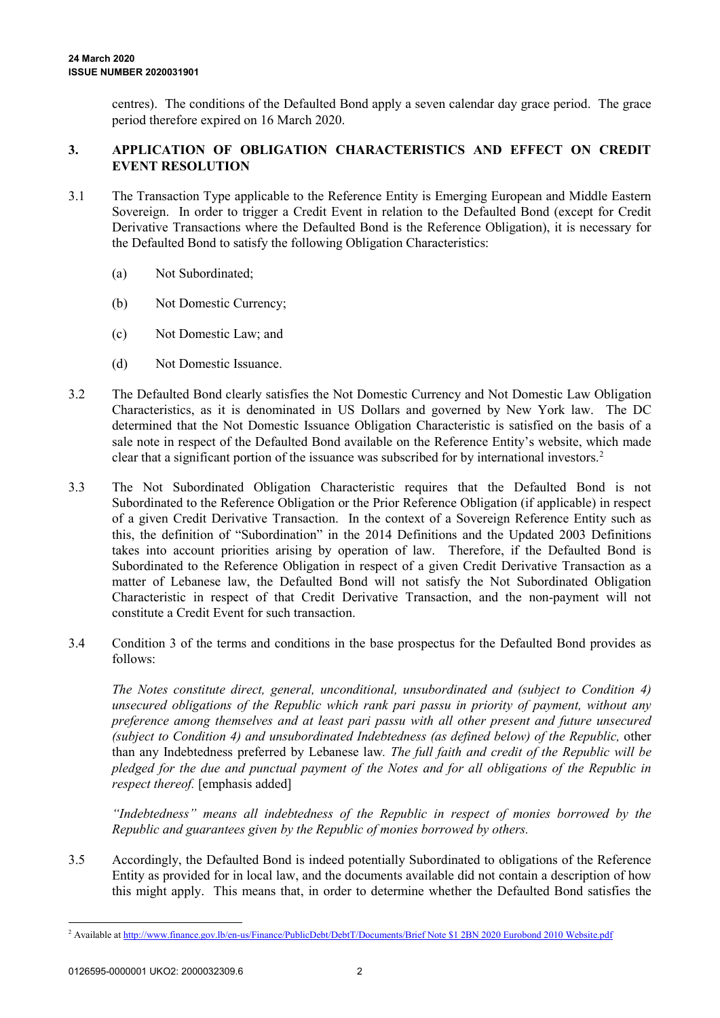centres). The conditions of the Defaulted Bond apply a seven calendar day grace period. The grace period therefore expired on 16 March 2020.

## **3. APPLICATION OF OBLIGATION CHARACTERISTICS AND EFFECT ON CREDIT EVENT RESOLUTION**

- 3.1 The Transaction Type applicable to the Reference Entity is Emerging European and Middle Eastern Sovereign. In order to trigger a Credit Event in relation to the Defaulted Bond (except for Credit Derivative Transactions where the Defaulted Bond is the Reference Obligation), it is necessary for the Defaulted Bond to satisfy the following Obligation Characteristics:
	- (a) Not Subordinated;
	- (b) Not Domestic Currency;
	- (c) Not Domestic Law; and
	- (d) Not Domestic Issuance.
- 3.2 The Defaulted Bond clearly satisfies the Not Domestic Currency and Not Domestic Law Obligation Characteristics, as it is denominated in US Dollars and governed by New York law. The DC determined that the Not Domestic Issuance Obligation Characteristic is satisfied on the basis of a sale note in respect of the Defaulted Bond available on the Reference Entity's website, which made clear that a significant portion of the issuance was subscribed for by international investors.[2](#page-1-0)
- 3.3 The Not Subordinated Obligation Characteristic requires that the Defaulted Bond is not Subordinated to the Reference Obligation or the Prior Reference Obligation (if applicable) in respect of a given Credit Derivative Transaction. In the context of a Sovereign Reference Entity such as this, the definition of "Subordination" in the 2014 Definitions and the Updated 2003 Definitions takes into account priorities arising by operation of law. Therefore, if the Defaulted Bond is Subordinated to the Reference Obligation in respect of a given Credit Derivative Transaction as a matter of Lebanese law, the Defaulted Bond will not satisfy the Not Subordinated Obligation Characteristic in respect of that Credit Derivative Transaction, and the non-payment will not constitute a Credit Event for such transaction.
- 3.4 Condition 3 of the terms and conditions in the base prospectus for the Defaulted Bond provides as follows:

*The Notes constitute direct, general, unconditional, unsubordinated and (subject to Condition 4) unsecured obligations of the Republic which rank pari passu in priority of payment, without any preference among themselves and at least pari passu with all other present and future unsecured (subject to Condition 4) and unsubordinated Indebtedness (as defined below) of the Republic,* other than any Indebtedness preferred by Lebanese law*. The full faith and credit of the Republic will be pledged for the due and punctual payment of the Notes and for all obligations of the Republic in respect thereof.* [emphasis added]

*"Indebtedness" means all indebtedness of the Republic in respect of monies borrowed by the Republic and guarantees given by the Republic of monies borrowed by others.*

3.5 Accordingly, the Defaulted Bond is indeed potentially Subordinated to obligations of the Reference Entity as provided for in local law, and the documents available did not contain a description of how this might apply. This means that, in order to determine whether the Defaulted Bond satisfies the

<span id="page-1-0"></span> <sup>2</sup> Available a[t http://www.finance.gov.lb/en-us/Finance/PublicDebt/DebtT/Documents/Brief Note \\$1 2BN 2020 Eurobond 2010 Website.pdf](http://www.finance.gov.lb/en-us/Finance/PublicDebt/DebtT/Documents/Brief%20Note%20$1%202BN%202020%20Eurobond%202010%20Website.pdf)